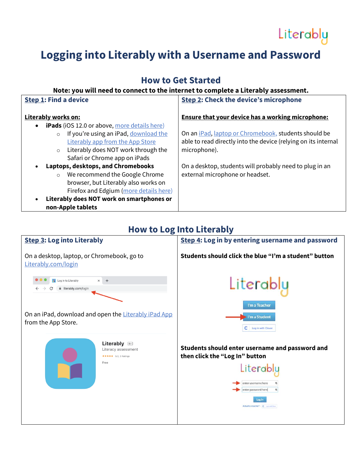# Literably

## **Logging into Literably with a Username and Password**

### **How to Get Started**

#### **Note: you will need to connect to the internet to complete a Literably assessment.**

| <b>Step 1: Find a device</b>                                     | <b>Step 2: Check the device's microphone</b>                         |
|------------------------------------------------------------------|----------------------------------------------------------------------|
| Literably works on:                                              | <b>Ensure that your device has a working microphone:</b>             |
| <b>iPads</b> (iOS 12.0 or above, more details here)<br>$\bullet$ |                                                                      |
| If you're using an iPad, download the<br>$\circ$                 | On an <i>iPad</i> , <i>laptop or Chromebook</i> , students should be |
| Literably app from the App Store                                 | able to read directly into the device (relying on its internal       |
| Literably does NOT work through the<br>$\circ$                   | microphone).                                                         |
| Safari or Chrome app on iPads                                    |                                                                      |
| Laptops, desktops, and Chromebooks<br>$\bullet$                  | On a desktop, students will probably need to plug in an              |
| We recommend the Google Chrome<br>$\circ$                        | external microphone or headset.                                      |
| browser, but Literably also works on                             |                                                                      |
| Firefox and Edgium (more details here)                           |                                                                      |
| Literably does NOT work on smartphones or<br>$\bullet$           |                                                                      |
| non-Apple tablets                                                |                                                                      |

### **How to Log Into Literably**